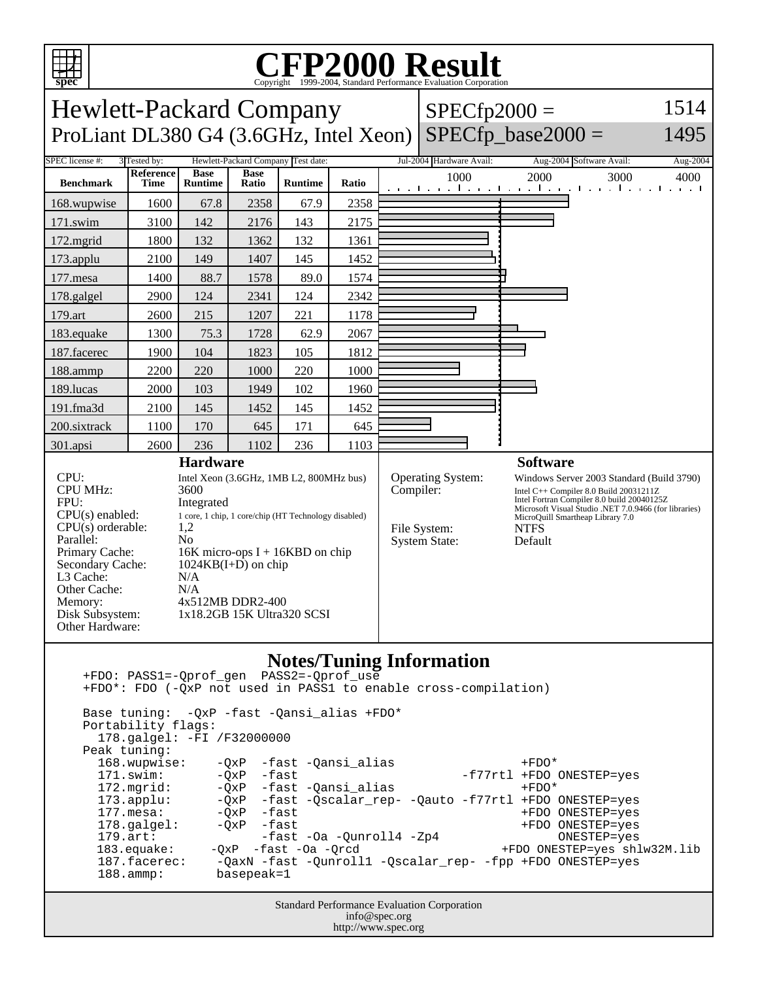

 Base tuning: -QxP -fast -Qansi\_alias +FDO\* Portability flags: 178.galgel: -FI /F32000000 Peak tuning:<br>168.wupwise: 168.wupwise: -QxP -fast -Qansi\_alias +FDO\* -f77rtl +FDO ONESTEP=yes 172.mgrid: -QxP -fast -Qansi\_alias +FDO\* 173.applu: -QxP -fast -Qscalar\_rep- -Qauto -f77rtl +FDO ONESTEP=yes 177.mesa: -QxP -fast +FDO ONESTEP=yes 178.galgel:  $-QxP$  -fast -Oa -Qunroll4 -Zp4 +FDO ONESTEP=yes<br>179.art: - -fast -Oa -Qunroll4 -Zp4 +FDO ONESTEP=yes 179.art:  $-$ fast  $-$ Oa  $-$ Qunroll $4$   $-$ Zp $4$ <br>183.equake:  $-$ QxP  $-$ fast  $-$ Oa  $-$ Qrcd +FDO ONESTEP=yes shlw32M.lib 187.facerec: -QaxN -fast -Qunroll1 -Qscalar\_rep- -fpp +FDO ONESTEP=yes<br>188.ammp: basepeak=1 basepeak=1

> Standard Performance Evaluation Corporation info@spec.org http://www.spec.org